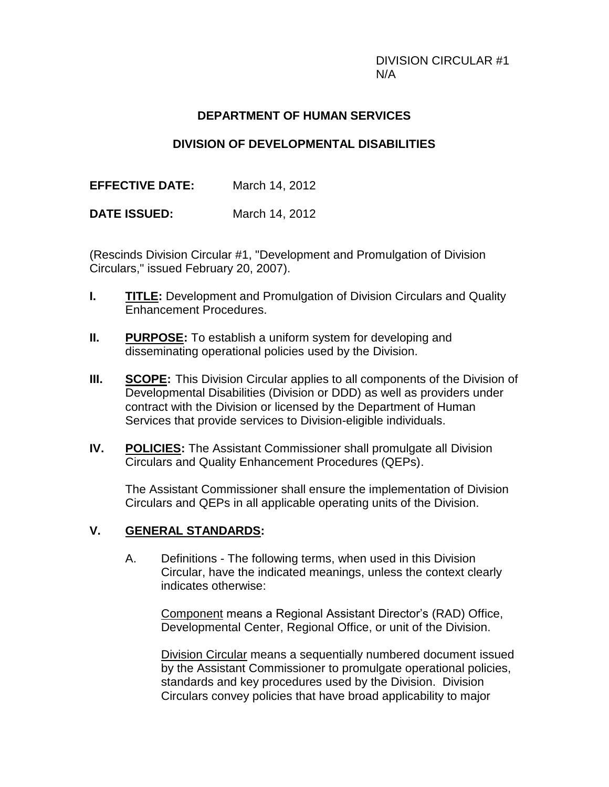DIVISION CIRCULAR #1 N/A

#### **DEPARTMENT OF HUMAN SERVICES**

### **DIVISION OF DEVELOPMENTAL DISABILITIES**

**EFFECTIVE DATE:** March 14, 2012

**DATE ISSUED:** March 14, 2012

(Rescinds Division Circular #1, "Development and Promulgation of Division Circulars," issued February 20, 2007).

- **I. TITLE:** Development and Promulgation of Division Circulars and Quality Enhancement Procedures.
- **II. PURPOSE:** To establish a uniform system for developing and disseminating operational policies used by the Division.
- **III. SCOPE:** This Division Circular applies to all components of the Division of Developmental Disabilities (Division or DDD) as well as providers under contract with the Division or licensed by the Department of Human Services that provide services to Division-eligible individuals.
- **IV. POLICIES:** The Assistant Commissioner shall promulgate all Division Circulars and Quality Enhancement Procedures (QEPs).

The Assistant Commissioner shall ensure the implementation of Division Circulars and QEPs in all applicable operating units of the Division.

#### **V. GENERAL STANDARDS:**

A. Definitions - The following terms, when used in this Division Circular, have the indicated meanings, unless the context clearly indicates otherwise:

Component means a Regional Assistant Director's (RAD) Office, Developmental Center, Regional Office, or unit of the Division.

Division Circular means a sequentially numbered document issued by the Assistant Commissioner to promulgate operational policies, standards and key procedures used by the Division. Division Circulars convey policies that have broad applicability to major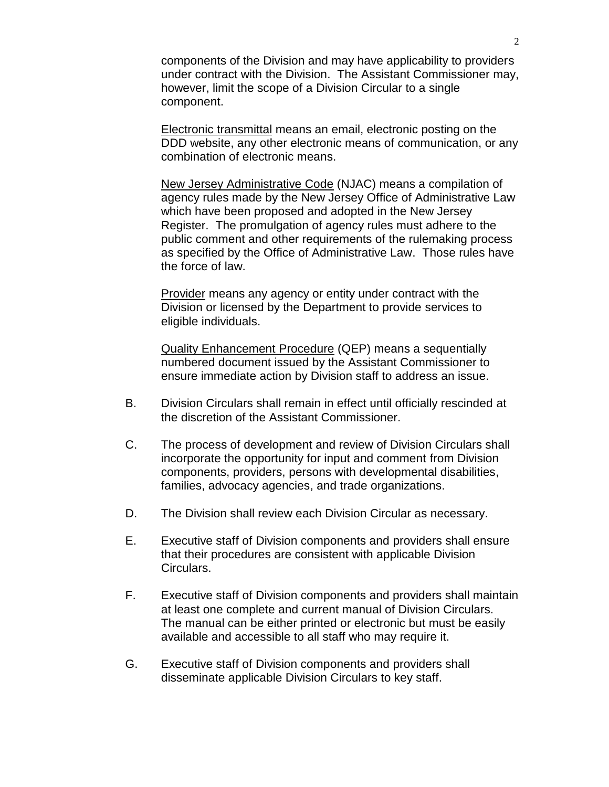components of the Division and may have applicability to providers under contract with the Division. The Assistant Commissioner may, however, limit the scope of a Division Circular to a single component.

Electronic transmittal means an email, electronic posting on the DDD website, any other electronic means of communication, or any combination of electronic means.

New Jersey Administrative Code (NJAC) means a compilation of agency rules made by the New Jersey Office of Administrative Law which have been proposed and adopted in the New Jersey Register. The promulgation of agency rules must adhere to the public comment and other requirements of the rulemaking process as specified by the Office of Administrative Law. Those rules have the force of law.

Provider means any agency or entity under contract with the Division or licensed by the Department to provide services to eligible individuals.

Quality Enhancement Procedure (QEP) means a sequentially numbered document issued by the Assistant Commissioner to ensure immediate action by Division staff to address an issue.

- B. Division Circulars shall remain in effect until officially rescinded at the discretion of the Assistant Commissioner.
- C. The process of development and review of Division Circulars shall incorporate the opportunity for input and comment from Division components, providers, persons with developmental disabilities, families, advocacy agencies, and trade organizations.
- D. The Division shall review each Division Circular as necessary.
- E. Executive staff of Division components and providers shall ensure that their procedures are consistent with applicable Division Circulars.
- F. Executive staff of Division components and providers shall maintain at least one complete and current manual of Division Circulars. The manual can be either printed or electronic but must be easily available and accessible to all staff who may require it.
- G. Executive staff of Division components and providers shall disseminate applicable Division Circulars to key staff.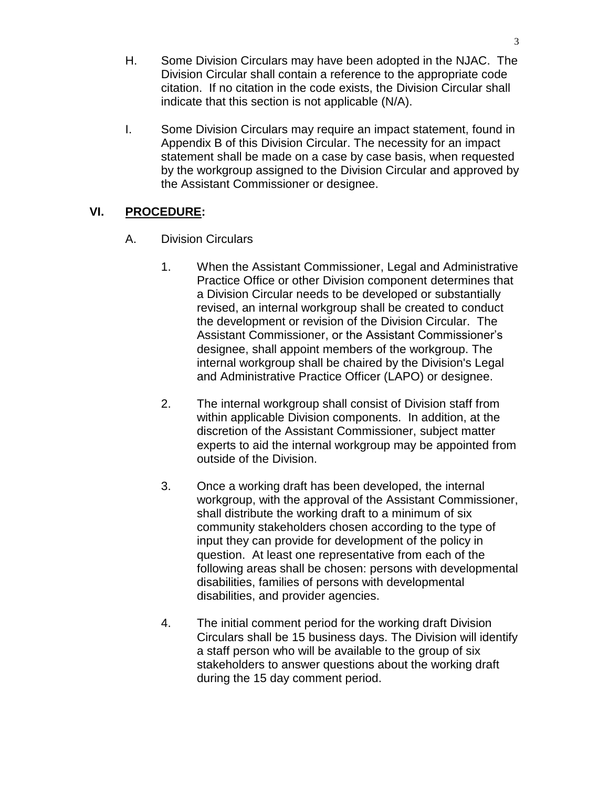- H. Some Division Circulars may have been adopted in the NJAC. The Division Circular shall contain a reference to the appropriate code citation. If no citation in the code exists, the Division Circular shall indicate that this section is not applicable (N/A).
- I. Some Division Circulars may require an impact statement, found in Appendix B of this Division Circular. The necessity for an impact statement shall be made on a case by case basis, when requested by the workgroup assigned to the Division Circular and approved by the Assistant Commissioner or designee.

# **VI. PROCEDURE:**

- A. Division Circulars
	- 1. When the Assistant Commissioner, Legal and Administrative Practice Office or other Division component determines that a Division Circular needs to be developed or substantially revised, an internal workgroup shall be created to conduct the development or revision of the Division Circular. The Assistant Commissioner, or the Assistant Commissioner's designee, shall appoint members of the workgroup. The internal workgroup shall be chaired by the Division's Legal and Administrative Practice Officer (LAPO) or designee.
	- 2. The internal workgroup shall consist of Division staff from within applicable Division components. In addition, at the discretion of the Assistant Commissioner, subject matter experts to aid the internal workgroup may be appointed from outside of the Division.
	- 3. Once a working draft has been developed, the internal workgroup, with the approval of the Assistant Commissioner, shall distribute the working draft to a minimum of six community stakeholders chosen according to the type of input they can provide for development of the policy in question. At least one representative from each of the following areas shall be chosen: persons with developmental disabilities, families of persons with developmental disabilities, and provider agencies.
	- 4. The initial comment period for the working draft Division Circulars shall be 15 business days. The Division will identify a staff person who will be available to the group of six stakeholders to answer questions about the working draft during the 15 day comment period.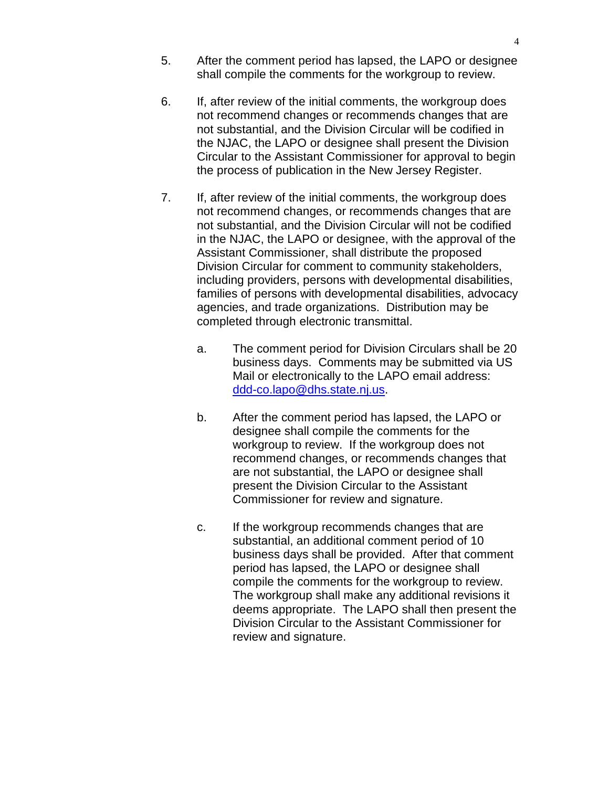- 5. After the comment period has lapsed, the LAPO or designee shall compile the comments for the workgroup to review.
- 6. If, after review of the initial comments, the workgroup does not recommend changes or recommends changes that are not substantial, and the Division Circular will be codified in the NJAC, the LAPO or designee shall present the Division Circular to the Assistant Commissioner for approval to begin the process of publication in the New Jersey Register.
- 7. If, after review of the initial comments, the workgroup does not recommend changes, or recommends changes that are not substantial, and the Division Circular will not be codified in the NJAC, the LAPO or designee, with the approval of the Assistant Commissioner, shall distribute the proposed Division Circular for comment to community stakeholders, including providers, persons with developmental disabilities, families of persons with developmental disabilities, advocacy agencies, and trade organizations. Distribution may be completed through electronic transmittal.
	- a. The comment period for Division Circulars shall be 20 business days. Comments may be submitted via US Mail or electronically to the LAPO email address: [ddd-co.lapo@dhs.state.nj.us.](mailto:ddd-co.lapo@dhs.state.nj.us)
	- b. After the comment period has lapsed, the LAPO or designee shall compile the comments for the workgroup to review. If the workgroup does not recommend changes, or recommends changes that are not substantial, the LAPO or designee shall present the Division Circular to the Assistant Commissioner for review and signature.
	- c. If the workgroup recommends changes that are substantial, an additional comment period of 10 business days shall be provided. After that comment period has lapsed, the LAPO or designee shall compile the comments for the workgroup to review. The workgroup shall make any additional revisions it deems appropriate. The LAPO shall then present the Division Circular to the Assistant Commissioner for review and signature.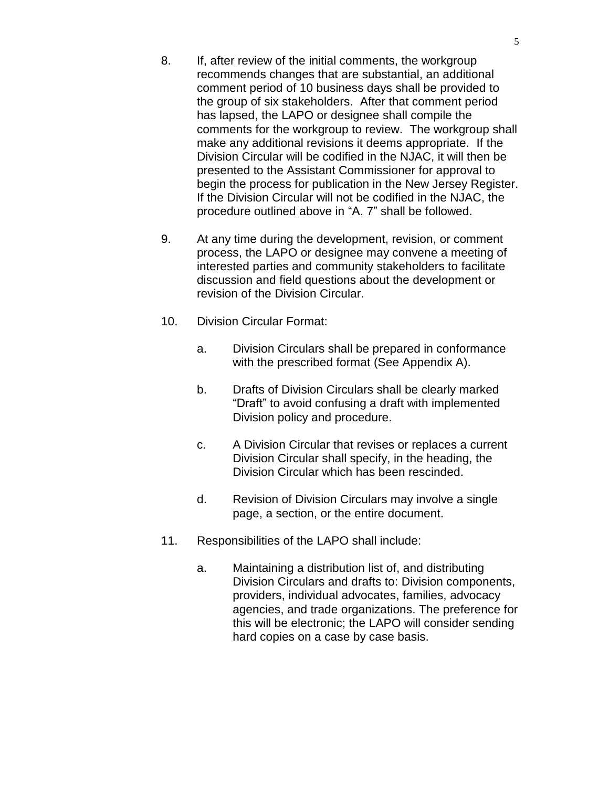- 8. If, after review of the initial comments, the workgroup recommends changes that are substantial, an additional comment period of 10 business days shall be provided to the group of six stakeholders. After that comment period has lapsed, the LAPO or designee shall compile the comments for the workgroup to review. The workgroup shall make any additional revisions it deems appropriate. If the Division Circular will be codified in the NJAC, it will then be presented to the Assistant Commissioner for approval to begin the process for publication in the New Jersey Register. If the Division Circular will not be codified in the NJAC, the procedure outlined above in "A. 7" shall be followed.
- 9. At any time during the development, revision, or comment process, the LAPO or designee may convene a meeting of interested parties and community stakeholders to facilitate discussion and field questions about the development or revision of the Division Circular.
- 10. Division Circular Format:
	- a. Division Circulars shall be prepared in conformance with the prescribed format (See Appendix A).
	- b. Drafts of Division Circulars shall be clearly marked "Draft" to avoid confusing a draft with implemented Division policy and procedure.
	- c. A Division Circular that revises or replaces a current Division Circular shall specify, in the heading, the Division Circular which has been rescinded.
	- d. Revision of Division Circulars may involve a single page, a section, or the entire document.
- 11. Responsibilities of the LAPO shall include:
	- a. Maintaining a distribution list of, and distributing Division Circulars and drafts to: Division components, providers, individual advocates, families, advocacy agencies, and trade organizations. The preference for this will be electronic; the LAPO will consider sending hard copies on a case by case basis.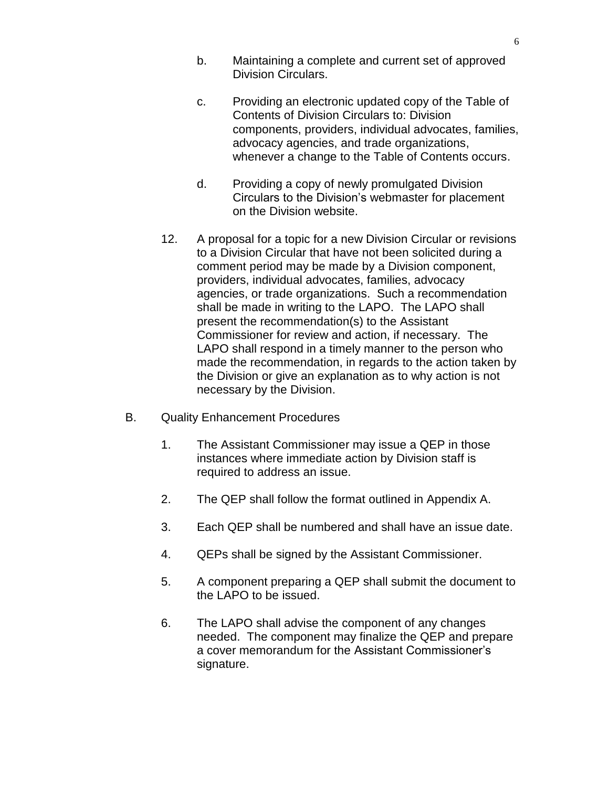- b. Maintaining a complete and current set of approved Division Circulars.
- c. Providing an electronic updated copy of the Table of Contents of Division Circulars to: Division components, providers, individual advocates, families, advocacy agencies, and trade organizations, whenever a change to the Table of Contents occurs.
- d. Providing a copy of newly promulgated Division Circulars to the Division's webmaster for placement on the Division website.
- 12. A proposal for a topic for a new Division Circular or revisions to a Division Circular that have not been solicited during a comment period may be made by a Division component, providers, individual advocates, families, advocacy agencies, or trade organizations. Such a recommendation shall be made in writing to the LAPO. The LAPO shall present the recommendation(s) to the Assistant Commissioner for review and action, if necessary. The LAPO shall respond in a timely manner to the person who made the recommendation, in regards to the action taken by the Division or give an explanation as to why action is not necessary by the Division.
- B. Quality Enhancement Procedures
	- 1. The Assistant Commissioner may issue a QEP in those instances where immediate action by Division staff is required to address an issue.
	- 2. The QEP shall follow the format outlined in Appendix A.
	- 3. Each QEP shall be numbered and shall have an issue date.
	- 4. QEPs shall be signed by the Assistant Commissioner.
	- 5. A component preparing a QEP shall submit the document to the LAPO to be issued.
	- 6. The LAPO shall advise the component of any changes needed. The component may finalize the QEP and prepare a cover memorandum for the Assistant Commissioner's signature.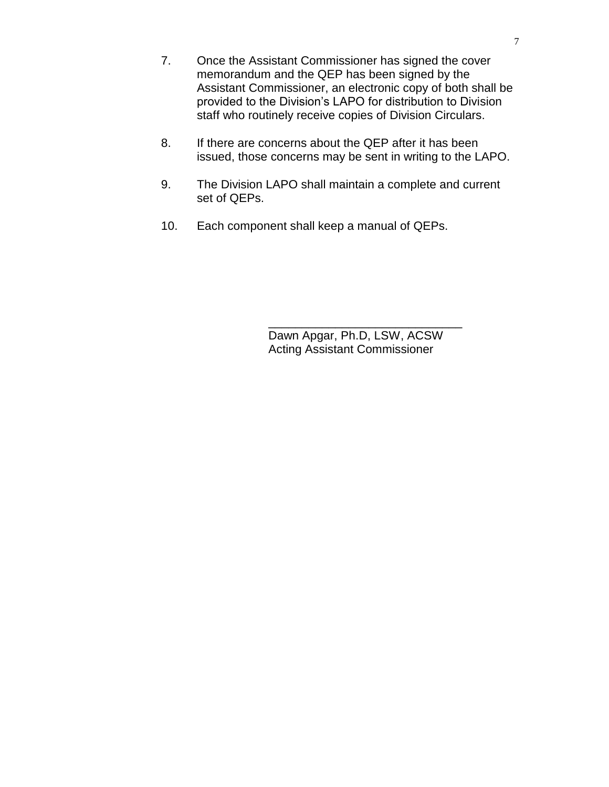- 7. Once the Assistant Commissioner has signed the cover memorandum and the QEP has been signed by the Assistant Commissioner, an electronic copy of both shall be provided to the Division's LAPO for distribution to Division staff who routinely receive copies of Division Circulars.
- 8. If there are concerns about the QEP after it has been issued, those concerns may be sent in writing to the LAPO.
- 9. The Division LAPO shall maintain a complete and current set of QEPs.
- 10. Each component shall keep a manual of QEPs.

Dawn Apgar, Ph.D, LSW, ACSW Acting Assistant Commissioner

\_\_\_\_\_\_\_\_\_\_\_\_\_\_\_\_\_\_\_\_\_\_\_\_\_\_\_\_\_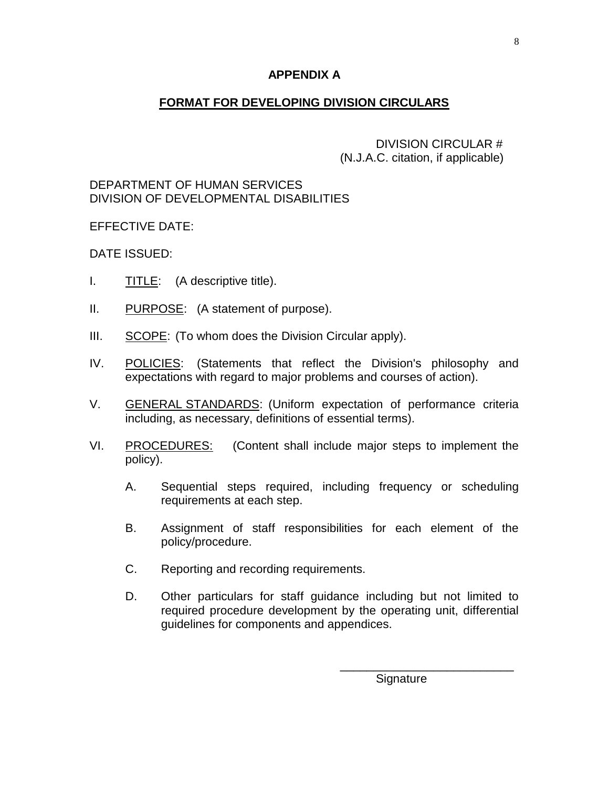### **APPENDIX A**

### **FORMAT FOR DEVELOPING DIVISION CIRCULARS**

DIVISION CIRCULAR # (N.J.A.C. citation, if applicable)

#### DEPARTMENT OF HUMAN SERVICES DIVISION OF DEVELOPMENTAL DISABILITIES

EFFECTIVE DATE:

DATE ISSUED:

- I. TITLE: (A descriptive title).
- II. PURPOSE: (A statement of purpose).
- III. SCOPE: (To whom does the Division Circular apply).
- IV. POLICIES: (Statements that reflect the Division's philosophy and expectations with regard to major problems and courses of action).
- V. GENERAL STANDARDS: (Uniform expectation of performance criteria including, as necessary, definitions of essential terms).
- VI. PROCEDURES: (Content shall include major steps to implement the policy).
	- A. Sequential steps required, including frequency or scheduling requirements at each step.
	- B. Assignment of staff responsibilities for each element of the policy/procedure.
	- C. Reporting and recording requirements.
	- D. Other particulars for staff guidance including but not limited to required procedure development by the operating unit, differential guidelines for components and appendices.

\_\_\_\_\_\_\_\_\_\_\_\_\_\_\_\_\_\_\_\_\_\_\_\_\_\_